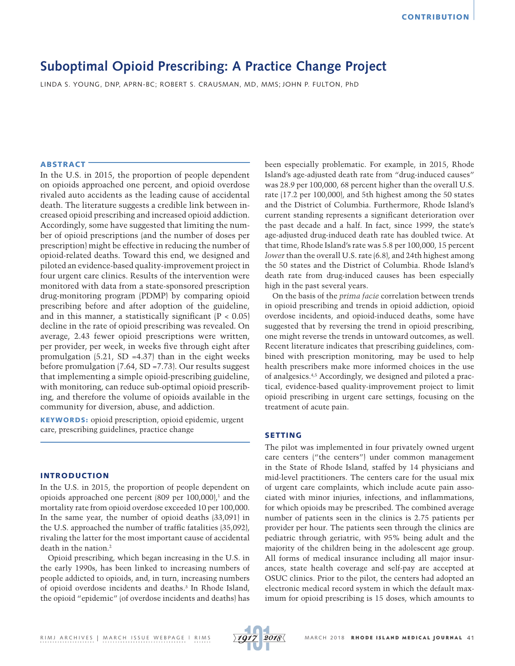# **Suboptimal Opioid Prescribing: A Practice Change Project**

LINDA S. YOUNG, DNP, APRN-BC; ROBERT S. CRAUSMAN, MD, MMS; JOHN P. FULTON, PhD

## ABSTRACT

In the U.S. in 2015, the proportion of people dependent on opioids approached one percent, and opioid overdose rivaled auto accidents as the leading cause of accidental death. The literature suggests a credible link between increased opioid prescribing and increased opioid addiction. Accordingly, some have suggested that limiting the number of opioid prescriptions (and the number of doses per prescription) might be effective in reducing the number of opioid-related deaths. Toward this end, we designed and piloted an evidence-based quality-improvement project in four urgent care clinics. Results of the intervention were monitored with data from a state-sponsored prescription drug-monitoring program (PDMP) by comparing opioid prescribing before and after adoption of the guideline, and in this manner, a statistically significant  $(P < 0.05)$ decline in the rate of opioid prescribing was revealed. On average, 2.43 fewer opioid prescriptions were written, per provider, per week, in weeks five through eight after promulgation  $(5.21, SD = 4.37)$  than in the eight weeks before promulgation (7.64, SD =7.73). Our results suggest that implementing a simple opioid-prescribing guideline, with monitoring, can reduce sub-optimal opioid prescribing, and therefore the volume of opioids available in the community for diversion, abuse, and addiction.

KEYWORDS: opioid prescription, opioid epidemic, urgent care, prescribing guidelines, practice change

#### INTRODUCTION

In the U.S. in 2015, the proportion of people dependent on opioids approached one percent  $(809 \text{ per } 100,000)$ ,<sup>1</sup> and the mortality rate from opioid overdose exceeded 10 per 100,000. In the same year, the number of opioid deaths (33,091) in the U.S. approached the number of traffic fatalities (35,092), rivaling the latter for the most important cause of accidental death in the nation.2

Opioid prescribing, which began increasing in the U.S. in the early 1990s, has been linked to increasing numbers of people addicted to opioids, and, in turn, increasing numbers of opioid overdose incidents and deaths.3 In Rhode Island, the opioid "epidemic" (of overdose incidents and deaths) has

been especially problematic. For example, in 2015, Rhode Island's age-adjusted death rate from "drug-induced causes" was 28.9 per 100,000, 68 percent higher than the overall U.S. rate (17.2 per 100,000), and 5th highest among the 50 states and the District of Columbia. Furthermore, Rhode Island's current standing represents a significant deterioration over the past decade and a half. In fact, since 1999, the state's age-adjusted drug-induced death rate has doubled twice. At that time, Rhode Island's rate was 5.8 per 100,000, 15 percent *lower* than the overall U.S. rate (6.8), and 24th highest among the 50 states and the District of Columbia. Rhode Island's death rate from drug-induced causes has been especially high in the past several years.

On the basis of the *prima facie* correlation between trends in opioid prescribing and trends in opioid addiction, opioid overdose incidents, and opioid-induced deaths, some have suggested that by reversing the trend in opioid prescribing, one might reverse the trends in untoward outcomes, as well. Recent literature indicates that prescribing guidelines, combined with prescription monitoring, may be used to help health prescribers make more informed choices in the use of analgesics.4,5 Accordingly, we designed and piloted a practical, evidence-based quality-improvement project to limit opioid prescribing in urgent care settings, focusing on the treatment of acute pain.

## SETTING

The pilot was implemented in four privately owned urgent care centers ("the centers") under common management in the State of Rhode Island, staffed by 14 physicians and mid-level practitioners. The centers care for the usual mix of urgent care complaints, which include acute pain associated with minor injuries, infections, and inflammations, for which opioids may be prescribed. The combined average number of patients seen in the clinics is 2.75 patients per provider per hour. The patients seen through the clinics are pediatric through geriatric, with 95% being adult and the majority of the children being in the adolescent age group. All forms of medical insurance including all major insurances, state health coverage and self-pay are accepted at OSUC clinics. Prior to the pilot, the centers had adopted an electronic medical record system in which the default maximum for opioid prescribing is 15 doses, which amounts to

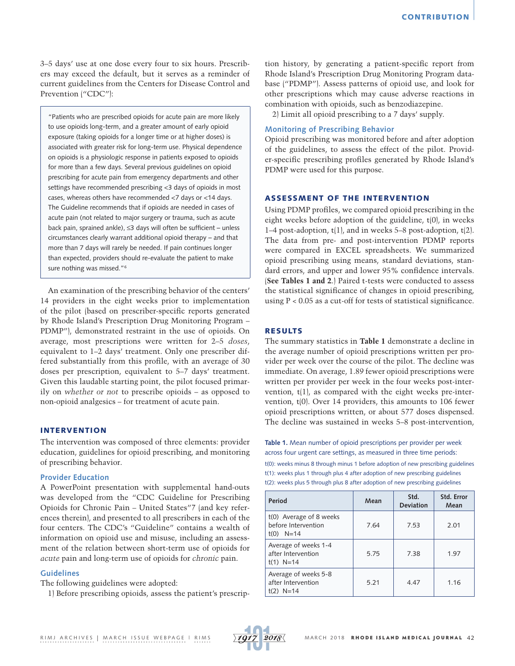3–5 days' use at one dose every four to six hours. Prescribers may exceed the default, but it serves as a reminder of current guidelines from the Centers for Disease Control and Prevention ("CDC"):

"Patients who are prescribed opioids for acute pain are more likely to use opioids long-term, and a greater amount of early opioid exposure (taking opioids for a longer time or at higher doses) is associated with greater risk for long-term use. Physical dependence on opioids is a physiologic response in patients exposed to opioids for more than a few days. Several previous guidelines on opioid prescribing for acute pain from emergency departments and other settings have recommended prescribing <3 days of opioids in most cases, whereas others have recommended <7 days or <14 days. The Guideline recommends that if opioids are needed in cases of acute pain (not related to major surgery or trauma, such as acute back pain, sprained ankle), ≤3 days will often be sufficient – unless circumstances clearly warrant additional opioid therapy – and that more than 7 days will rarely be needed. If pain continues longer than expected, providers should re-evaluate the patient to make sure nothing was missed."6

An examination of the prescribing behavior of the centers' 14 providers in the eight weeks prior to implementation of the pilot (based on prescriber-specific reports generated by Rhode Island's Prescription Drug Monitoring Program – PDMP"), demonstrated restraint in the use of opioids. On average, most prescriptions were written for 2–5 *doses*, equivalent to 1–2 days' treatment. Only one prescriber differed substantially from this profile, with an average of 30 doses per prescription, equivalent to 5–7 days' treatment. Given this laudable starting point, the pilot focused primarily on *whether or not* to prescribe opioids – as opposed to non-opioid analgesics – for treatment of acute pain.

### INTERVENTION

The intervention was composed of three elements: provider education, guidelines for opioid prescribing, and monitoring of prescribing behavior.

#### **Provider Education**

A PowerPoint presentation with supplemental hand-outs was developed from the "CDC Guideline for Prescribing Opioids for Chronic Pain – United States"7 (and key references therein), and presented to all prescribers in each of the four centers. The CDC's "Guideline" contains a wealth of information on opioid use and misuse, including an assessment of the relation between short-term use of opioids for *acute* pain and long-term use of opioids for *chronic* pain.

## **Guidelines**

The following guidelines were adopted:

1) Before prescribing opioids, assess the patient's prescrip-

tion history, by generating a patient-specific report from Rhode Island's Prescription Drug Monitoring Program database ("PDMP"). Assess patterns of opioid use, and look for other prescriptions which may cause adverse reactions in combination with opioids, such as benzodiazepine.

2) Limit all opioid prescribing to a 7 days' supply.

### **Monitoring of Prescribing Behavior**

Opioid prescribing was monitored before and after adoption of the guidelines, to assess the effect of the pilot. Provider-specific prescribing profiles generated by Rhode Island's PDMP were used for this purpose.

## ASSESSMENT OF THE INTERVENTION

Using PDMP profiles, we compared opioid prescribing in the eight weeks before adoption of the guideline, t(0), in weeks 1–4 post-adoption, t(1), and in weeks 5–8 post-adoption, t(2). The data from pre- and post-intervention PDMP reports were compared in EXCEL spreadsheets. We summarized opioid prescribing using means, standard deviations, standard errors, and upper and lower 95% confidence intervals. (**See Tables 1 and 2**.) Paired t-tests were conducted to assess the statistical significance of changes in opioid prescribing, using P < 0.05 as a cut-off for tests of statistical significance.

#### RESULTS

The summary statistics in **Table 1** demonstrate a decline in the average number of opioid prescriptions written per provider per week over the course of the pilot. The decline was immediate. On average, 1.89 fewer opioid prescriptions were written per provider per week in the four weeks post-intervention,  $t(1)$ , as compared with the eight weeks pre-intervention, t(0). Over 14 providers, this amounts to 106 fewer opioid prescriptions written, or about 577 doses dispensed. The decline was sustained in weeks 5–8 post-intervention,

**Table 1.** Mean number of opioid prescriptions per provider per week across four urgent care settings, as measured in three time periods:

t(0): weeks minus 8 through minus 1 before adoption of new prescribing guidelines t(1): weeks plus 1 through plus 4 after adoption of new prescribing guidelines t(2): weeks plus 5 through plus 8 after adoption of new prescribing guidelines

| Period                                                        | Mean | Std.<br><b>Deviation</b> | Std. Error<br>Mean |  |
|---------------------------------------------------------------|------|--------------------------|--------------------|--|
| t(0) Average of 8 weeks<br>before Intervention<br>$t(0)$ N=14 | 7.64 | 7.53                     | 2.01               |  |
| Average of weeks 1-4<br>after Intervention<br>$t(1)$ N=14     | 5.75 | 7.38                     | 1.97               |  |
| Average of weeks 5-8<br>after Intervention<br>$t(2)$ N=14     | 5.21 | 4.47                     | 1.16               |  |

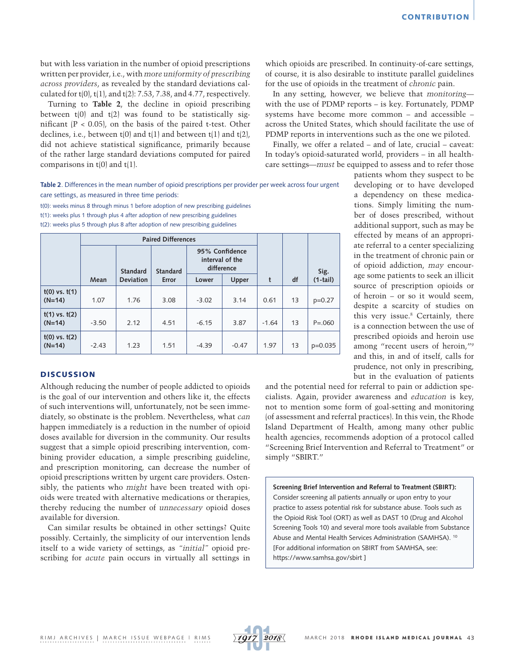but with less variation in the number of opioid prescriptions written per provider, i.e., with *more uniformity of prescribing across providers*, as revealed by the standard deviations calculated for  $t(0)$ ,  $t(1)$ , and  $t(2)$ : 7.53, 7.38, and 4.77, respectively.

Turning to **Table 2**, the decline in opioid prescribing between  $t(0)$  and  $t(2)$  was found to be statistically significant  $(P < 0.05)$ , on the basis of the paired t-test. Other declines, i.e., between  $t(0)$  and  $t(1)$  and between  $t(1)$  and  $t(2)$ , did not achieve statistical significance, primarily because of the rather large standard deviations computed for paired comparisons in  $t(0)$  and  $t(1)$ .

which opioids are prescribed. In continuity-of-care settings, of course, it is also desirable to institute parallel guidelines for the use of opioids in the treatment of *chronic* pain.

In any setting, however, we believe that *monitoring* with the use of PDMP reports – is key. Fortunately, PDMP systems have become more common – and accessible – across the United States, which should facilitate the use of PDMP reports in interventions such as the one we piloted.

Finally, we offer a related – and of late, crucial – caveat: In today's opioid-saturated world, providers – in all healthcare settings—*must* be equipped to assess and to refer those

**Table 2**. Differences in the mean number of opioid prescriptions per provider per week across four urgent care settings, as measured in three time periods:

t(0): weeks minus 8 through minus 1 before adoption of new prescribing guidelines t(1): weeks plus 1 through plus 4 after adoption of new prescribing guidelines t(2): weeks plus 5 through plus 8 after adoption of new prescribing guidelines

|                               | <b>Paired Differences</b> |                  |                 |                                                 |         |         |    |             |
|-------------------------------|---------------------------|------------------|-----------------|-------------------------------------------------|---------|---------|----|-------------|
|                               |                           | <b>Standard</b>  | <b>Standard</b> | 95% Confidence<br>interval of the<br>difference |         |         |    | Sig.        |
|                               | Mean                      | <b>Deviation</b> | Error           | Lower                                           | Upper   | t       | df | $(1-tail)$  |
| $t(0)$ vs. $t(1)$<br>$(N=14)$ | 1.07                      | 1.76             | 3.08            | $-3.02$                                         | 3.14    | 0.61    | 13 | $p=0.27$    |
| $t(1)$ vs. $t(2)$<br>$(N=14)$ | $-3.50$                   | 2.12             | 4.51            | $-6.15$                                         | 3.87    | $-1.64$ | 13 | $P = 0.060$ |
| $t(0)$ vs. $t(2)$<br>$(N=14)$ | $-2.43$                   | 1.23             | 1.51            | $-4.39$                                         | $-0.47$ | 1.97    | 13 | $p=0.035$   |

#### **DISCUSSION**

Although reducing the number of people addicted to opioids is the goal of our intervention and others like it, the effects of such interventions will, unfortunately, not be seen immediately, so obstinate is the problem. Nevertheless, what *can* happen immediately is a reduction in the number of opioid doses available for diversion in the community. Our results suggest that a simple opioid prescribing intervention, combining provider education, a simple prescribing guideline, and prescription monitoring, can decrease the number of opioid prescriptions written by urgent care providers. Ostensibly, the patients who *might* have been treated with opioids were treated with alternative medications or therapies, thereby reducing the number of *unnecessary* opioid doses available for diversion.

Can similar results be obtained in other settings? Quite possibly. Certainly, the simplicity of our intervention lends itself to a wide variety of settings, as *"initial"* opioid prescribing for *acute* pain occurs in virtually all settings in patients whom they suspect to be developing or to have developed a dependency on these medications. Simply limiting the number of doses prescribed, without additional support, such as may be effected by means of an appropriate referral to a center specializing in the treatment of chronic pain or of opioid addiction, *may* encourage some patients to seek an illicit source of prescription opioids or of heroin – or so it would seem, despite a scarcity of studies on this very issue.8 Certainly, there is a connection between the use of prescribed opioids and heroin use among "recent users of heroin,"9 and this, in and of itself, calls for prudence, not only in prescribing, but in the evaluation of patients

and the potential need for referral to pain or addiction specialists. Again, provider awareness and *education* is key, not to mention some form of goal-setting and monitoring (of assessment and referral practices). In this vein, the Rhode Island Department of Health, among many other public health agencies, recommends adoption of a protocol called "Screening Brief Intervention and Referral to Treatment" or simply "SBIRT."

**Screening Brief Intervention and Referral to Treatment (SBIRT):**  Consider screening all patients annually or upon entry to your practice to assess potential risk for substance abuse. Tools such as the Opioid Risk Tool (ORT) as well as DAST 10 (Drug and Alcohol Screening Tools 10) and several more tools available from Substance Abuse and Mental Health Services Administration (SAMHSA). 10 [For additional information on SBIRT from SAMHSA, see: <https://www.samhsa.gov/sbirt> ]